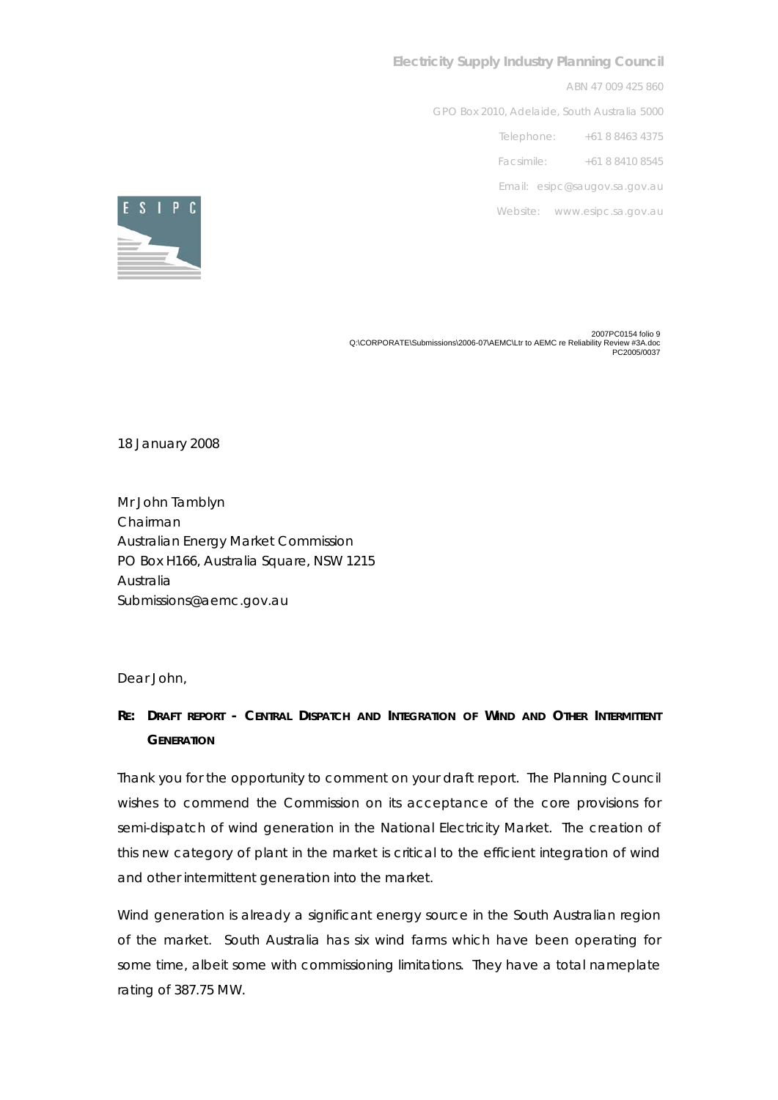## **Electricity Supply Industry Planning Council**

ABN 47 009 425 860

GPO Box 2010, Adelaide, South Australia 5000

Telephone: +61 8 8463 4375

Facsimile: +61 8 8410 8545

Email: esipc@saugov.sa.gov.au

Website: www.esipc.sa.gov.au



2 2007PC0154 folio 9 2<br>Q:\CORPORATE\Submissions\2006-07\AEMC\Ltr to AEMC re Reliability Review #3A.doc<br>PC2005/0037

18 January 2008

Mr John Tamblyn Chairman Australian Energy Market Commission PO Box H166, Australia Square, NSW 1215 Australia Submissions@aemc.gov.au

Dear John,

## **RE: DRAFT REPORT - CENTRAL DISPATCH AND INTEGRATION OF WIND AND OTHER INTERMITTENT GENERATION**

Thank you for the opportunity to comment on your draft report. The Planning Council wishes to commend the Commission on its acceptance of the core provisions for semi-dispatch of wind generation in the National Electricity Market. The creation of this new category of plant in the market is critical to the efficient integration of wind and other intermittent generation into the market.

Wind generation is already a significant energy source in the South Australian region of the market. South Australia has six wind farms which have been operating for some time, albeit some with commissioning limitations. They have a total nameplate rating of 387.75 MW.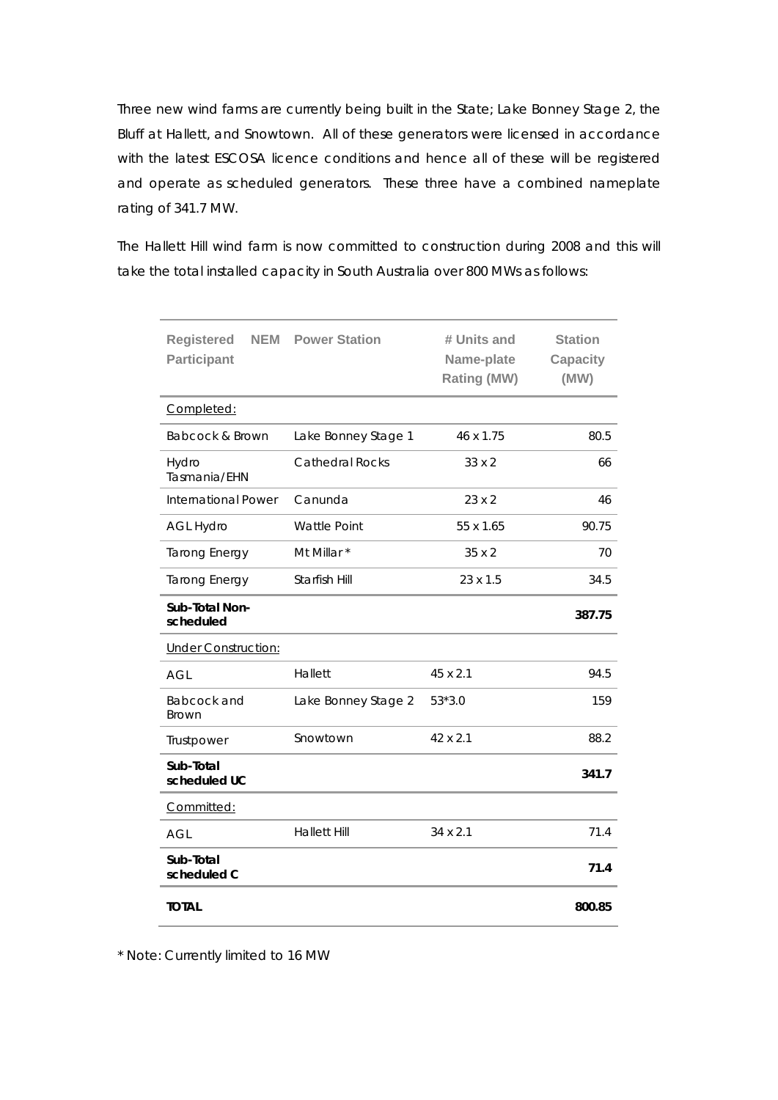Three new wind farms are currently being built in the State; Lake Bonney Stage 2, the Bluff at Hallett, and Snowtown. All of these generators were licensed in accordance with the latest ESCOSA licence conditions and hence all of these will be registered and operate as scheduled generators. These three have a combined nameplate rating of 341.7 MW.

The Hallett Hill wind farm is now committed to construction during 2008 and this will take the total installed capacity in South Australia over 800 MWs as follows:

| <b>Registered</b><br><b>NEM</b><br>Participant | <b>Power Station</b>   | # Units and<br>Name-plate<br>Rating (MW) | <b>Station</b><br><b>Capacity</b><br>(MW) |
|------------------------------------------------|------------------------|------------------------------------------|-------------------------------------------|
| Completed:                                     |                        |                                          |                                           |
| Babcock & Brown                                | Lake Bonney Stage 1    | 46 x 1.75                                | 80.5                                      |
| Hydro<br>Tasmania/EHN                          | <b>Cathedral Rocks</b> | 33 x 2                                   | 66                                        |
| International Power                            | Canunda                | $23 \times 2$                            | 46                                        |
| <b>AGL Hydro</b>                               | <b>Wattle Point</b>    | 55 x 1.65                                | 90.75                                     |
| <b>Tarong Energy</b>                           | Mt Millar *            | 35 x 2                                   | 70                                        |
| <b>Tarong Energy</b>                           | Starfish Hill          | 23 x 1.5                                 | 34.5                                      |
| Sub-Total Non-<br>scheduled                    |                        |                                          | 387.75                                    |
| <b>Under Construction:</b>                     |                        |                                          |                                           |
| <b>AGL</b>                                     | Hallett                | 45 x 2.1                                 | 94.5                                      |
| Babcock and<br><b>Brown</b>                    | Lake Bonney Stage 2    | $53*3.0$                                 | 159                                       |
| Trustpower                                     | Snowtown               | 42 x 2.1                                 | 88.2                                      |
| Sub-Total<br>scheduled UC                      |                        |                                          | 341.7                                     |
| Committed:                                     |                        |                                          |                                           |
| AGL                                            | <b>Hallett Hill</b>    | $34 \times 2.1$                          | 71.4                                      |
| Sub-Total<br>scheduled C                       |                        |                                          | 71.4                                      |
| <b>TOTAL</b>                                   |                        |                                          | 800.85                                    |

\* Note: Currently limited to 16 MW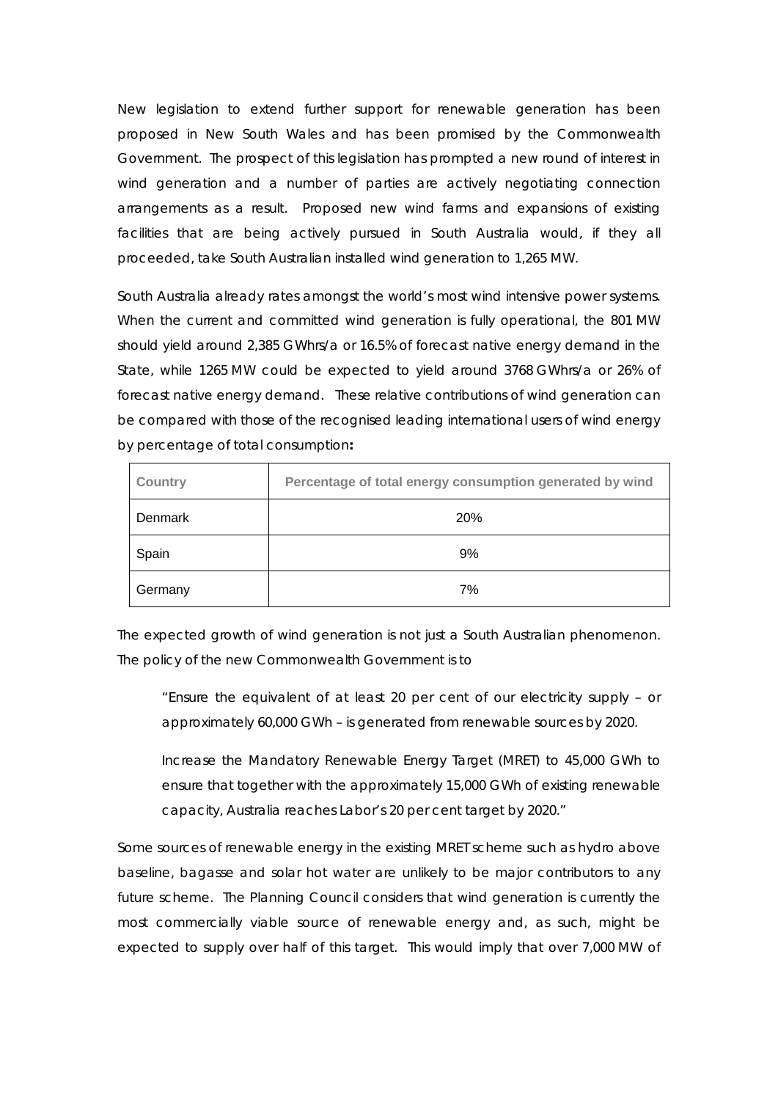New legislation to extend further support for renewable generation has been proposed in New South Wales and has been promised by the Commonwealth Government. The prospect of this legislation has prompted a new round of interest in wind generation and a number of parties are actively negotiating connection arrangements as a result. Proposed new wind farms and expansions of existing facilities that are being actively pursued in South Australia would, if they all proceeded, take South Australian installed wind generation to 1,265 MW.

South Australia already rates amongst the world's most wind intensive power systems. When the current and committed wind generation is fully operational, the 801 MW should yield around 2,385 GWhrs/a or 16.5% of forecast native energy demand in the State, while 1265 MW could be expected to yield around 3768 GWhrs/a or 26% of forecast native energy demand. These relative contributions of wind generation can be compared with those of the recognised leading international users of wind energy by percentage of total consumption**:** 

| Country | Percentage of total energy consumption generated by wind |
|---------|----------------------------------------------------------|
| Denmark | 20%                                                      |
| Spain   | 9%                                                       |
| Germany | 7%                                                       |

The expected growth of wind generation is not just a South Australian phenomenon. The policy of the new Commonwealth Government is to

"Ensure the equivalent of at least 20 per cent of our electricity supply – or approximately 60,000 GWh – is generated from renewable sources by 2020.

Increase the Mandatory Renewable Energy Target (MRET) to 45,000 GWh to ensure that together with the approximately 15,000 GWh of existing renewable capacity, Australia reaches Labor's 20 per cent target by 2020."

Some sources of renewable energy in the existing MRET scheme such as hydro above baseline, bagasse and solar hot water are unlikely to be major contributors to any future scheme. The Planning Council considers that wind generation is currently the most commercially viable source of renewable energy and, as such, might be expected to supply over half of this target. This would imply that over 7,000 MW of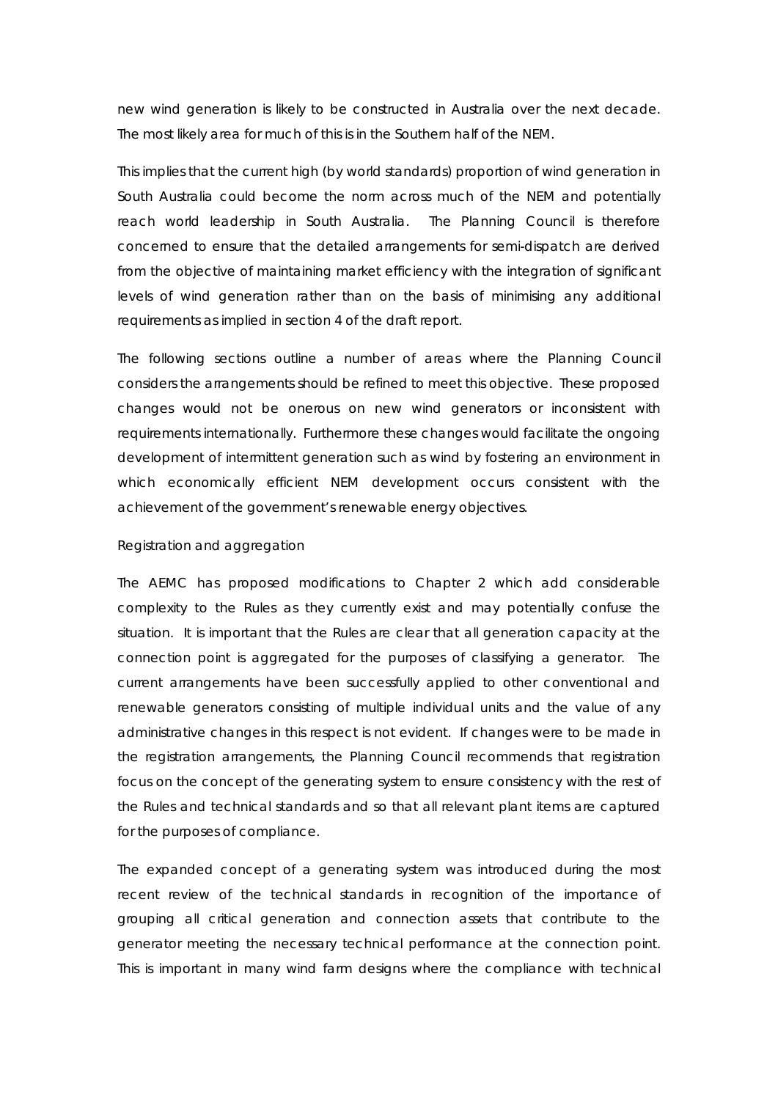new wind generation is likely to be constructed in Australia over the next decade. The most likely area for much of this is in the Southern half of the NEM.

This implies that the current high (by world standards) proportion of wind generation in South Australia could become the norm across much of the NEM and potentially reach world leadership in South Australia. The Planning Council is therefore concerned to ensure that the detailed arrangements for semi-dispatch are derived from the objective of maintaining market efficiency with the integration of significant levels of wind generation rather than on the basis of minimising any additional requirements as implied in section 4 of the draft report.

The following sections outline a number of areas where the Planning Council considers the arrangements should be refined to meet this objective. These proposed changes would not be onerous on new wind generators or inconsistent with requirements internationally. Furthermore these changes would facilitate the ongoing development of intermittent generation such as wind by fostering an environment in which economically efficient NEM development occurs consistent with the achievement of the government's renewable energy objectives.

### *Registration and aggregation*

The AEMC has proposed modifications to Chapter 2 which add considerable complexity to the Rules as they currently exist and may potentially confuse the situation. It is important that the Rules are clear that all generation capacity at the connection point is aggregated for the purposes of classifying a generator. The current arrangements have been successfully applied to other conventional and renewable generators consisting of multiple individual units and the value of any administrative changes in this respect is not evident. If changes were to be made in the registration arrangements, the Planning Council recommends that registration focus on the concept of the *generating system* to ensure consistency with the rest of the Rules and technical standards and so that all relevant plant items are captured for the purposes of compliance.

The expanded concept of a *generating system* was introduced during the most recent review of the technical standards in recognition of the importance of grouping all critical generation and connection assets that contribute to the generator meeting the necessary technical performance at the connection point. This is important in many wind farm designs where the compliance with technical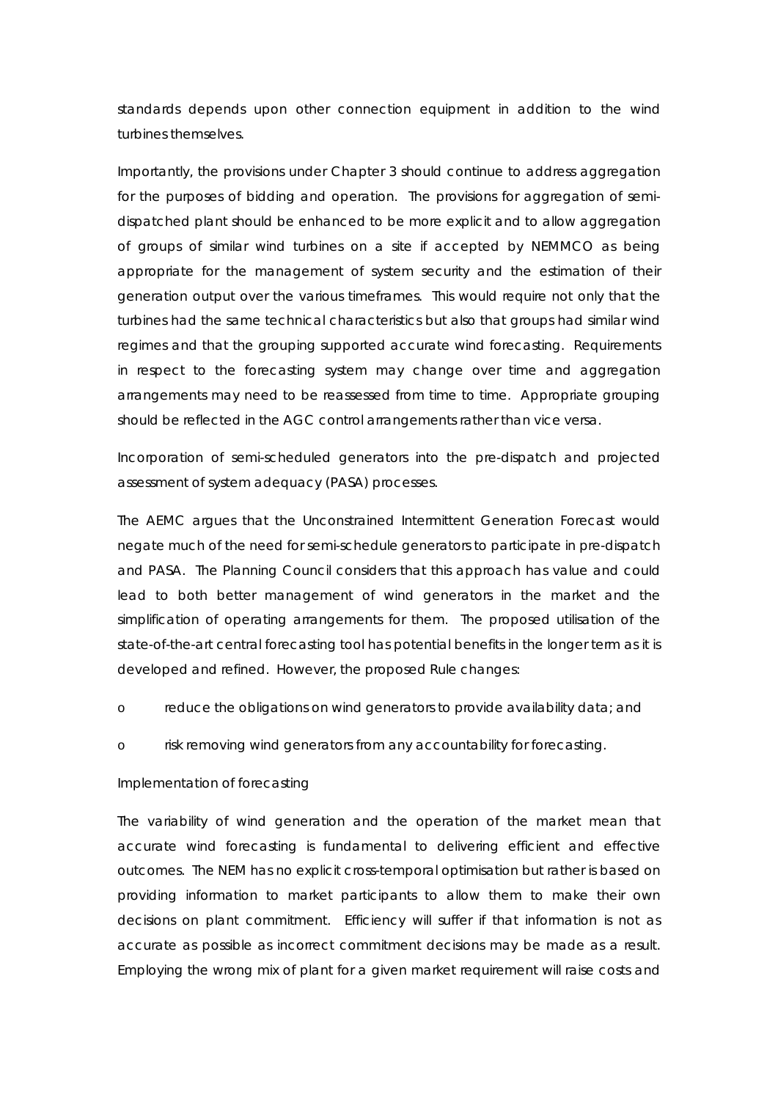standards depends upon other connection equipment in addition to the wind turbines themselves.

Importantly, the provisions under Chapter 3 should continue to address aggregation for the purposes of bidding and operation. The provisions for aggregation of semidispatched plant should be enhanced to be more explicit and to allow aggregation of groups of similar wind turbines on a site if accepted by NEMMCO as being appropriate for the management of system security and the estimation of their generation output over the various timeframes. This would require not only that the turbines had the same technical characteristics but also that groups had similar wind regimes and that the grouping supported accurate wind forecasting. Requirements in respect to the forecasting system may change over time and aggregation arrangements may need to be reassessed from time to time. Appropriate grouping should be reflected in the AGC control arrangements rather than vice versa.

# *Incorporation of semi-scheduled generators into the pre-dispatch and projected assessment of system adequacy (PASA) processes.*

The AEMC argues that the Unconstrained Intermittent Generation Forecast would negate much of the need for semi-schedule generators to participate in pre-dispatch and PASA. The Planning Council considers that this approach has value and could lead to both better management of wind generators in the market and the simplification of operating arrangements for them. The proposed utilisation of the state-of-the-art central forecasting tool has potential benefits in the longer term as it is developed and refined. However, the proposed Rule changes:

- o reduce the obligations on wind generators to provide availability data; and
- o risk removing wind generators from any accountability for forecasting.

### *Implementation of forecasting*

The variability of wind generation and the operation of the market mean that accurate wind forecasting is fundamental to delivering efficient and effective outcomes. The NEM has no explicit cross-temporal optimisation but rather is based on providing information to market participants to allow them to make their own decisions on plant commitment. Efficiency will suffer if that information is not as accurate as possible as incorrect commitment decisions may be made as a result. Employing the wrong mix of plant for a given market requirement will raise costs and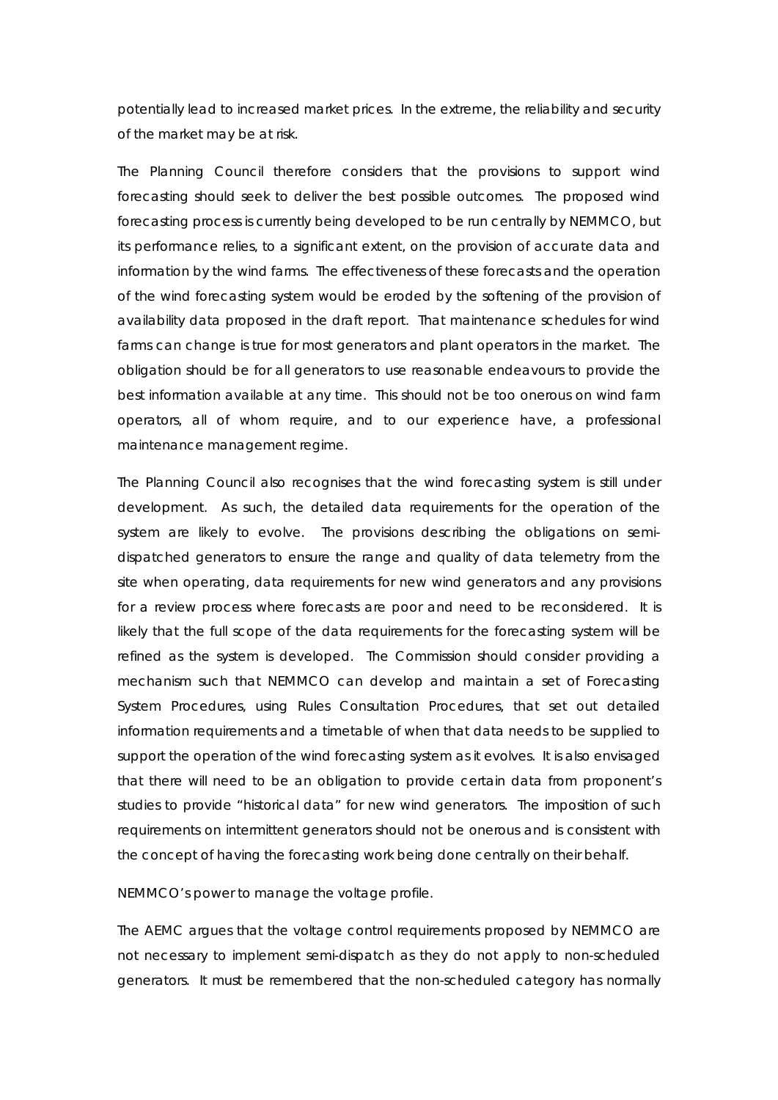potentially lead to increased market prices. In the extreme, the reliability and security of the market may be at risk.

The Planning Council therefore considers that the provisions to support wind forecasting should seek to deliver the best possible outcomes. The proposed wind forecasting process is currently being developed to be run centrally by NEMMCO, but its performance relies, to a significant extent, on the provision of accurate data and information by the wind farms. The effectiveness of these forecasts and the operation of the wind forecasting system would be eroded by the softening of the provision of availability data proposed in the draft report. That maintenance schedules for wind farms can change is true for most generators and plant operators in the market. The obligation should be for all generators to use reasonable endeavours to provide the best information available at any time. This should not be too onerous on wind farm operators, all of whom require, and to our experience have, a professional maintenance management regime.

The Planning Council also recognises that the wind forecasting system is still under development. As such, the detailed data requirements for the operation of the system are likely to evolve. The provisions describing the obligations on semidispatched generators to ensure the range and quality of data telemetry from the site when operating, data requirements for new wind generators and any provisions for a review process where forecasts are poor and need to be reconsidered. It is likely that the full scope of the data requirements for the forecasting system will be refined as the system is developed. The Commission should consider providing a mechanism such that NEMMCO can develop and maintain a set of Forecasting System Procedures, using *Rules Consultation Procedures,* that set out detailed information requirements and a timetable of when that data needs to be supplied to support the operation of the wind forecasting system as it evolves. It is also envisaged that there will need to be an obligation to provide certain data from proponent's studies to provide "historical data" for new wind generators. The imposition of such requirements on intermittent generators should not be onerous and is consistent with the concept of having the forecasting work being done centrally on their behalf.

#### *NEMMCO's power to manage the voltage profile.*

The AEMC argues that the voltage control requirements proposed by NEMMCO are not necessary to implement semi-dispatch as they do not apply to non-scheduled generators. It must be remembered that the non-scheduled category has normally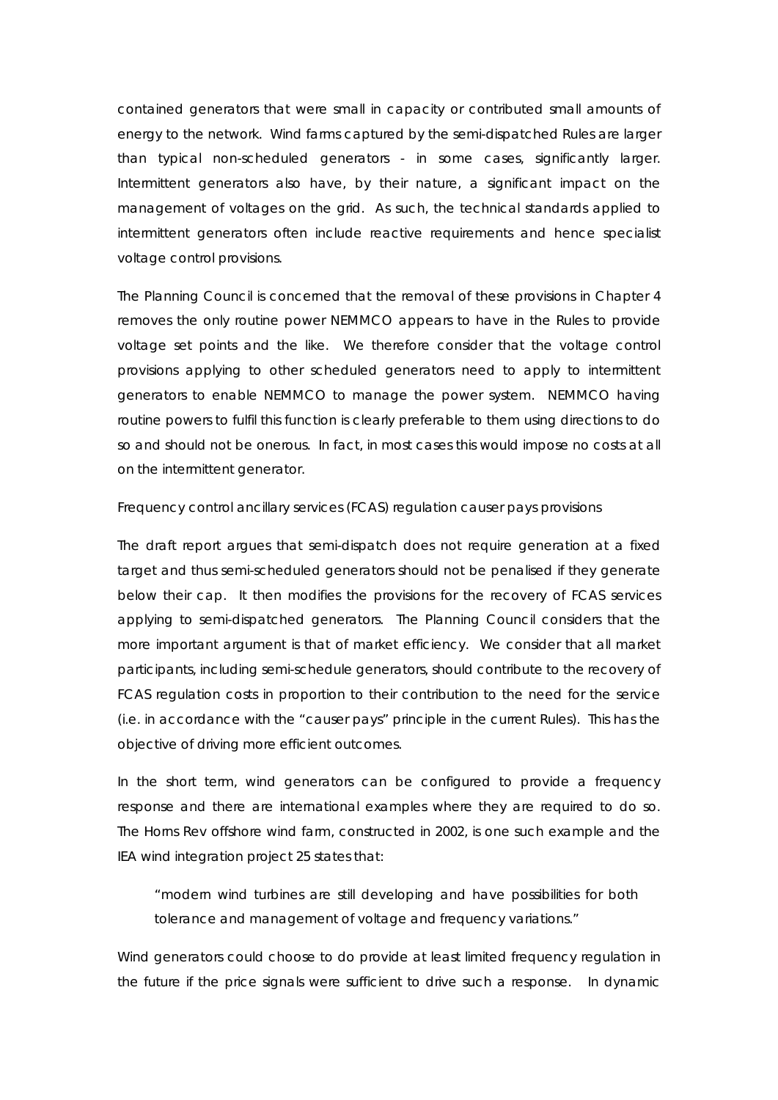contained generators that were small in capacity or contributed small amounts of energy to the network. Wind farms captured by the semi-dispatched Rules are larger than typical non-scheduled generators - in some cases, significantly larger. Intermittent generators also have, by their nature, a significant impact on the management of voltages on the grid. As such, the technical standards applied to intermittent generators often include reactive requirements and hence specialist voltage control provisions.

The Planning Council is concerned that the removal of these provisions in Chapter 4 removes the only routine power NEMMCO appears to have in the Rules to provide voltage set points and the like. We therefore consider that the voltage control provisions applying to other scheduled generators need to apply to intermittent generators to enable NEMMCO to manage the power system. NEMMCO having routine powers to fulfil this function is clearly preferable to them using *directions* to do so and should not be onerous. In fact, in most cases this would impose no costs at all on the intermittent generator.

## *Frequency control ancillary services (FCAS) regulation causer pays provisions*

The draft report argues that semi-dispatch does not require generation at a fixed target and thus semi-scheduled generators should not be penalised if they generate below their cap. It then modifies the provisions for the recovery of FCAS services applying to semi-dispatched generators. The Planning Council considers that the more important argument is that of market efficiency. We consider that all market participants, including semi-schedule generators, should contribute to the recovery of FCAS regulation costs in proportion to their contribution to the need for the service (i.e. in accordance with the "causer pays" principle in the current Rules). This has the objective of driving more efficient outcomes.

In the short term, wind generators can be configured to provide a frequency response and there are international examples where they are required to do so. The Horns Rev offshore wind farm, constructed in 2002, is one such example and the IEA wind integration project 25 states that:

"modern wind turbines are still developing and have possibilities for both tolerance and management of voltage and frequency variations."

Wind generators could choose to do provide at least limited frequency regulation in the future if the price signals were sufficient to drive such a response. In dynamic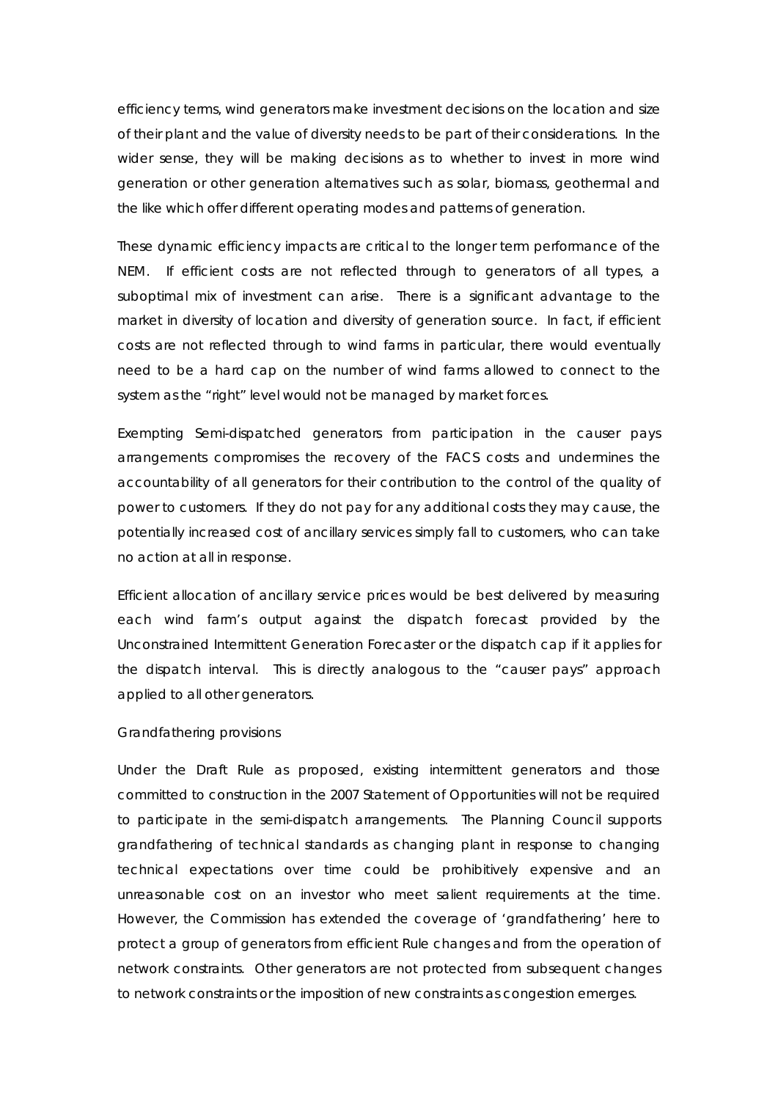efficiency terms, wind generators make investment decisions on the location and size of their plant and the value of diversity needs to be part of their considerations. In the wider sense, they will be making decisions as to whether to invest in more wind generation or other generation alternatives such as solar, biomass, geothermal and the like which offer different operating modes and patterns of generation.

These dynamic efficiency impacts are critical to the longer term performance of the NEM. If efficient costs are not reflected through to generators of all types, a suboptimal mix of investment can arise. There is a significant advantage to the market in diversity of location and diversity of generation source. In fact, if efficient costs are not reflected through to wind farms in particular, there would eventually need to be a hard cap on the number of wind farms allowed to connect to the system as the "right" level would not be managed by market forces.

Exempting Semi-dispatched generators from participation in the causer pays arrangements compromises the recovery of the FACS costs and undermines the accountability of all generators for their contribution to the control of the quality of power to customers. If they do not pay for any additional costs they may cause, the potentially increased cost of ancillary services simply fall to customers, who can take no action at all in response.

Efficient allocation of ancillary service prices would be best delivered by measuring each wind farm's output against the dispatch forecast provided by the Unconstrained Intermittent Generation Forecaster or the dispatch cap if it applies for the dispatch interval. This is directly analogous to the "causer pays" approach applied to all other generators.

#### *Grandfathering provisions*

Under the Draft Rule as proposed, existing intermittent generators and those committed to construction in the 2007 Statement of Opportunities will not be required to participate in the semi-dispatch arrangements. The Planning Council supports grandfathering of technical standards as changing plant in response to changing technical expectations over time could be prohibitively expensive and an unreasonable cost on an investor who meet salient requirements at the time. However, the Commission has extended the coverage of 'grandfathering' here to protect a group of generators from efficient Rule changes and from the operation of network constraints. Other generators are not protected from subsequent changes to network constraints or the imposition of new constraints as congestion emerges.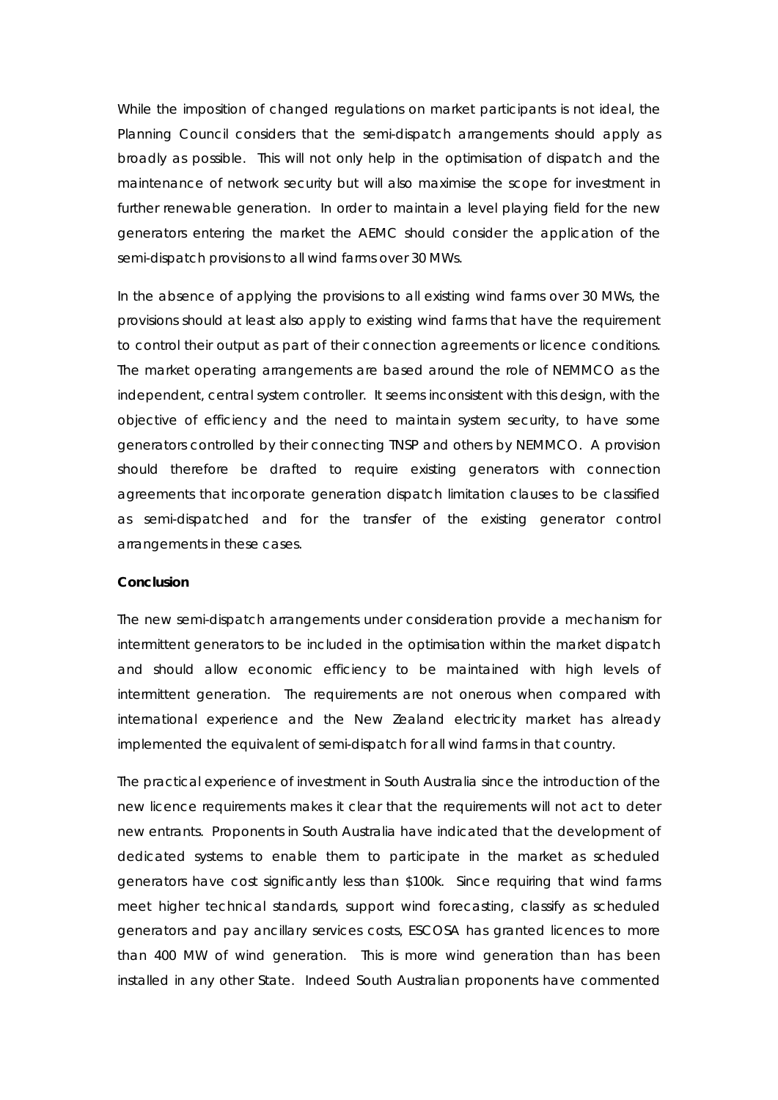While the imposition of changed regulations on market participants is not ideal, the Planning Council considers that the semi-dispatch arrangements should apply as broadly as possible. This will not only help in the optimisation of dispatch and the maintenance of network security but will also maximise the scope for investment in further renewable generation. In order to maintain a level playing field for the new generators entering the market the AEMC should consider the application of the semi-dispatch provisions to all wind farms over 30 MWs.

In the absence of applying the provisions to all existing wind farms over 30 MWs, the provisions should at least also apply to existing wind farms that have the requirement to control their output as part of their connection agreements or licence conditions. The market operating arrangements are based around the role of NEMMCO as the independent, central system controller. It seems inconsistent with this design, with the objective of efficiency and the need to maintain system security, to have some generators controlled by their connecting TNSP and others by NEMMCO. A provision should therefore be drafted to require existing generators with connection agreements that incorporate generation dispatch limitation clauses to be classified as semi-dispatched and for the transfer of the existing generator control arrangements in these cases.

#### **Conclusion**

The new semi-dispatch arrangements under consideration provide a mechanism for intermittent generators to be included in the optimisation within the market dispatch and should allow economic efficiency to be maintained with high levels of intermittent generation. The requirements are not onerous when compared with international experience and the New Zealand electricity market has already implemented the equivalent of semi-dispatch for all wind farms in that country.

The practical experience of investment in South Australia since the introduction of the new licence requirements makes it clear that the requirements will not act to deter new entrants. Proponents in South Australia have indicated that the development of dedicated systems to enable them to participate in the market as scheduled generators have cost significantly less than \$100k. Since requiring that wind farms meet higher technical standards, support wind forecasting, classify as scheduled generators and pay ancillary services costs, ESCOSA has granted licences to more than 400 MW of wind generation. This is more wind generation than has been installed in any other State. Indeed South Australian proponents have commented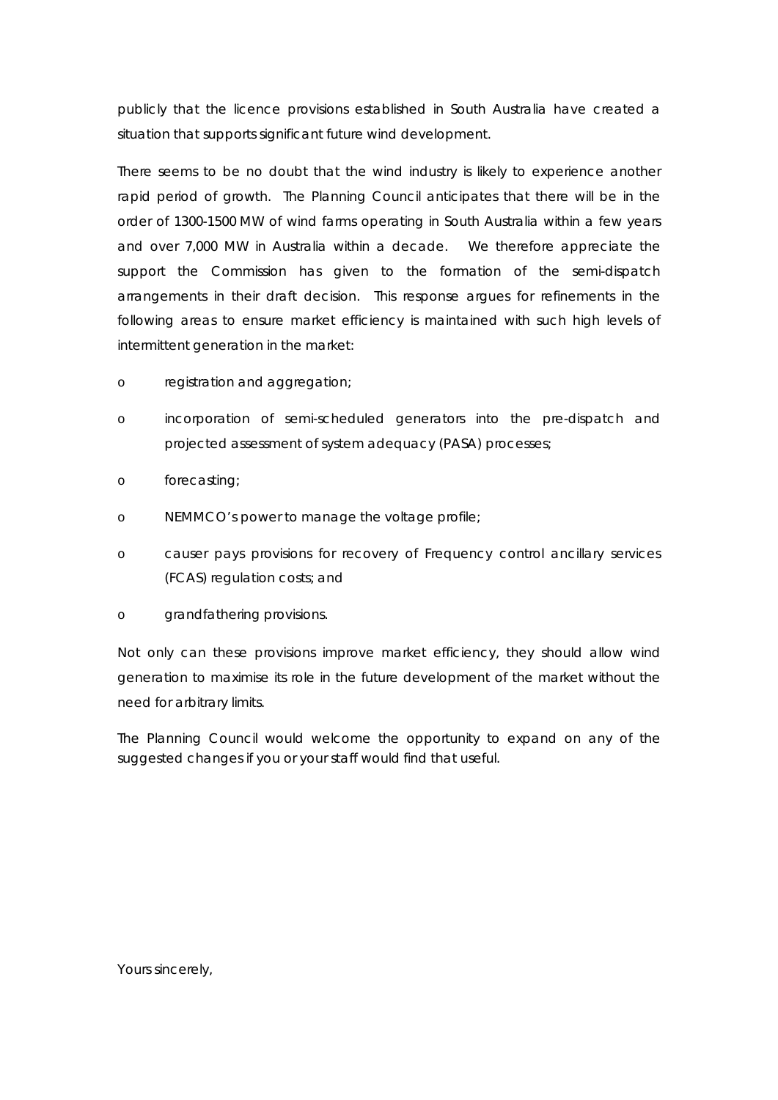publicly that the licence provisions established in South Australia have created a situation that supports significant future wind development.

There seems to be no doubt that the wind industry is likely to experience another rapid period of growth. The Planning Council anticipates that there will be in the order of 1300-1500 MW of wind farms operating in South Australia within a few years and over 7,000 MW in Australia within a decade. We therefore appreciate the support the Commission has given to the formation of the semi-dispatch arrangements in their draft decision. This response argues for refinements in the following areas to ensure market efficiency is maintained with such high levels of intermittent generation in the market:

- o registration and aggregation;
- o incorporation of semi-scheduled generators into the pre-dispatch and projected assessment of system adequacy (PASA) processes;
- o forecasting;
- o NEMMCO's power to manage the voltage profile;
- o causer pays provisions for recovery of Frequency control ancillary services (FCAS) regulation costs; and
- o grandfathering provisions.

Not only can these provisions improve market efficiency, they should allow wind generation to maximise its role in the future development of the market without the need for arbitrary limits.

The Planning Council would welcome the opportunity to expand on any of the suggested changes if you or your staff would find that useful.

Yours sincerely,